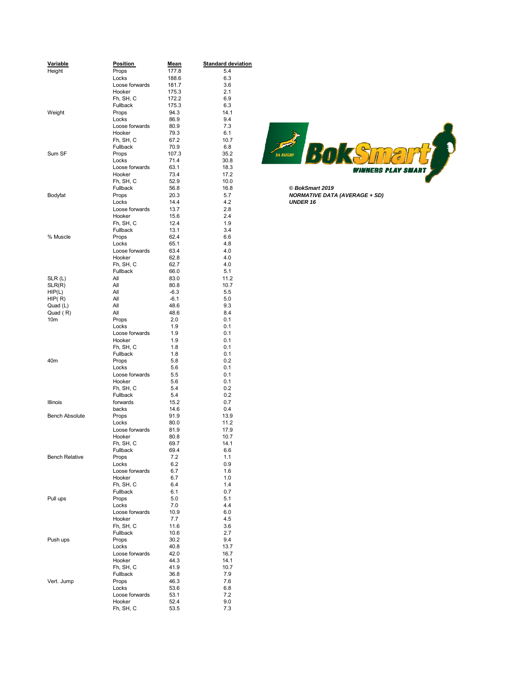| Variable              | <b>Position</b>         | <b>Mean</b>  | <b>Standard deviation</b> |                                      |
|-----------------------|-------------------------|--------------|---------------------------|--------------------------------------|
| Height                | Props                   | 177.8        | 5.4                       |                                      |
|                       | Locks                   | 188.6        | 6.3                       |                                      |
|                       | Loose forwards          | 181.7        | 3.6                       |                                      |
|                       | Hooker                  | 175.3        | 2.1                       |                                      |
|                       | Fh, SH, C               | 172.2        | 6.9                       |                                      |
|                       | Fullback                | 175.3        | 6.3                       |                                      |
| Weight                | Props                   | 94.3         | 14.1                      |                                      |
|                       | Locks                   | 86.9         | 9.4                       |                                      |
|                       | Loose forwards          | 80.9         | 7.3                       |                                      |
|                       | Hooker                  | 79.3         | 6.1                       |                                      |
|                       | Fh, SH, C               | 67.2         | 10.7                      |                                      |
|                       | Fullback                | 70.9         | 6.8                       |                                      |
| Sum SF                | Props                   | 107.3        | 35.2                      | $\frac{1}{2}$<br><b>SA RUGBY</b>     |
|                       | Locks                   | 71.4         | 30.8                      |                                      |
|                       | Loose forwards          | 63.1         | 18.3                      | WINNERS                              |
|                       | Hooker                  | 73.4         | 17.2                      |                                      |
|                       | Fh, SH, C               | 52.9         | 10.0                      |                                      |
|                       | Fullback                | 56.8         | 16.8                      | C BokSmart 2019                      |
| Bodyfat               | Props                   | 20.3         | 5.7                       | <b>NORMATIVE DATA (AVERAGE + SD)</b> |
|                       | Locks                   | 14.4         | 4.2                       | <b>UNDER 16</b>                      |
|                       | Loose forwards          | 13.7         | 2.8                       |                                      |
|                       | Hooker                  | 15.6         | 2.4                       |                                      |
|                       | Fh, SH, C               | 12.4         | 1.9                       |                                      |
|                       | Fullback                | 13.1         | 3.4                       |                                      |
| % Muscle              | Props                   | 62.4         | 6.6                       |                                      |
|                       | Locks                   | 65.1         | 4.8                       |                                      |
|                       | Loose forwards          | 63.4         | 4.0                       |                                      |
|                       | Hooker                  | 62.8         | 4.0                       |                                      |
|                       | Fh, SH, C               | 62.7         | 4.0                       |                                      |
|                       | Fullback                | 66.0         | 5.1                       |                                      |
| SLR(L)                | All                     | 83.0         | 11.2                      |                                      |
| SLR(R)                | All                     | 80.8         | 10.7                      |                                      |
| HIP(L)                | All                     | $-6.3$       | 5.5                       |                                      |
| HIP(R)                | All                     | -6.1         | 5.0                       |                                      |
| Quad (L)              | All                     | 48.6         | 9.3                       |                                      |
| Quad (R)              | All                     | 48.6         | 8.4                       |                                      |
| 10m                   | Props                   | 2.0          | 0.1                       |                                      |
|                       | Locks                   | 1.9          | 0.1                       |                                      |
|                       | Loose forwards          | 1.9          | 0.1                       |                                      |
|                       | Hooker                  | 1.9          | 0.1                       |                                      |
|                       | Fh, SH, C<br>Fullback   | 1.8<br>1.8   | 0.1<br>0.1                |                                      |
| 40m                   | Props                   | 5.8          | 0.2                       |                                      |
|                       | Locks                   | 5.6          | 0.1                       |                                      |
|                       | Loose forwards          | 5.5          | 0.1                       |                                      |
|                       | Hooker                  | 5.6          | 0.1                       |                                      |
|                       | Fh, SH, C               | 5.4          | 0.2                       |                                      |
|                       | Fullback                | 5.4          | 0.2                       |                                      |
| Illinois              | forwards                | 15.2         | 0.7                       |                                      |
|                       | backs                   | 14.6         | 0.4                       |                                      |
| <b>Bench Absolute</b> | Props                   | 91.9         | 13.9                      |                                      |
|                       | Locks                   | 80.0         | 11.2                      |                                      |
|                       | Loose forwards          | 81.9         | 17.9                      |                                      |
|                       | Hooker                  | 80.8         | 10.7                      |                                      |
|                       | Fh, SH, C               | 69.7         | 14.1                      |                                      |
|                       | Fullback                | 69.4         | 6.6                       |                                      |
| <b>Bench Relative</b> | Props                   | 7.2          | 1.1                       |                                      |
|                       | Locks                   | 6.2          | 0.9                       |                                      |
|                       | Loose forwards          | 6.7          | 1.6                       |                                      |
|                       | Hooker                  | 6.7          | 1.0                       |                                      |
|                       | Fh, SH, C               | 6.4          | 1.4                       |                                      |
|                       | Fullback                | 6.1          | 0.7                       |                                      |
| Pull ups              | Props                   | 5.0          | 5.1                       |                                      |
|                       | Locks                   | 7.0          | 4.4                       |                                      |
|                       | Loose forwards          | 10.9         | 6.0                       |                                      |
|                       | Hooker                  | 7.7          | 4.5                       |                                      |
|                       | Fh, SH, C               | 11.6         | 3.6                       |                                      |
|                       | Fullback                | 10.6         | 2.7<br>9.4                |                                      |
| Push ups              | Props                   | 30.2         |                           |                                      |
|                       | Locks<br>Loose forwards | 40.8<br>42.0 | 13.7                      |                                      |
|                       | Hooker                  | 44.3         | 16.7<br>14.1              |                                      |
|                       | Fh, SH, C               | 41.9         | 10.7                      |                                      |
|                       | Fullback                | 36.8         | 7.9                       |                                      |
| Vert. Jump            | Props                   | 46.3         | 7.6                       |                                      |
|                       | Locks                   | 53.6         | 6.8                       |                                      |
|                       | Loose forwards          | 53.1         | 7.2                       |                                      |
|                       | Hooker                  | 52.4         | 9.0                       |                                      |
|                       | Fh, SH, C               | 53.5         | 7.3                       |                                      |